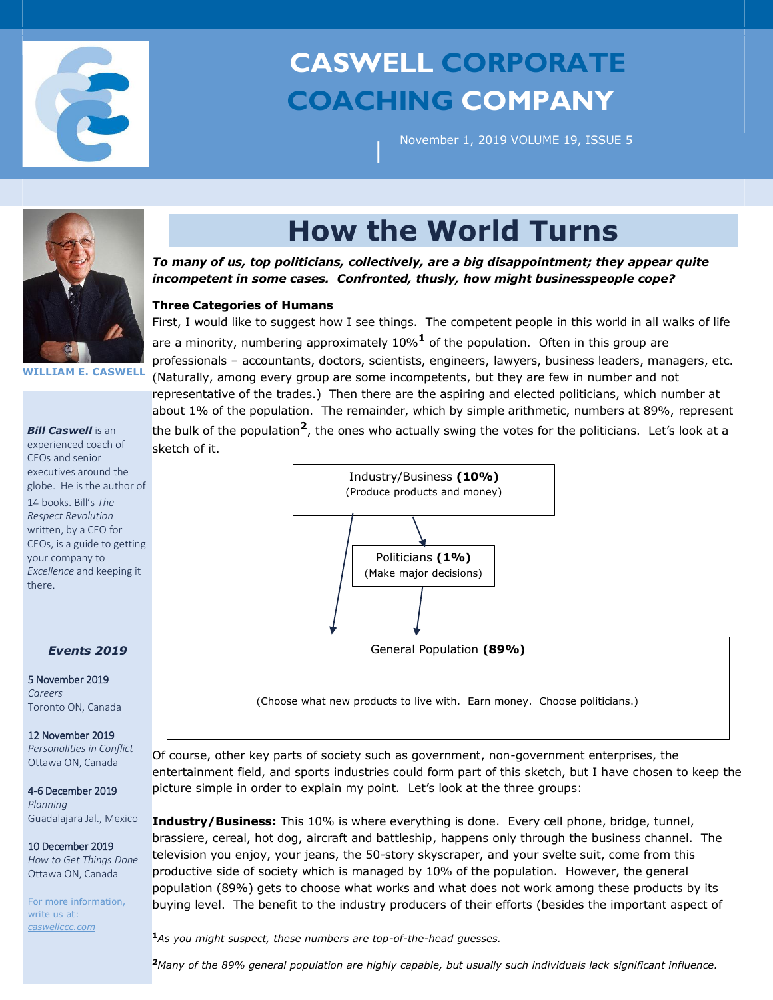

# **CASWELL CORPORATE COACHING COMPANY**

November 1, 2019 VOLUME 19, ISSUE 5



# **How the World Turns**

*To many of us, top politicians, collectively, are a big disappointment; they appear quite incompetent in some cases. Confronted, thusly, how might businesspeople cope?*

|

## **Three Categories of Humans**

First, I would like to suggest how I see things. The competent people in this world in all walks of life are a minority, numbering approximately 10%**<sup>1</sup>** of the population. Often in this group are professionals – accountants, doctors, scientists, engineers, lawyers, business leaders, managers, etc. (Naturally, among every group are some incompetents, but they are few in number and not representative of the trades.) Then there are the aspiring and elected politicians, which number at about 1% of the population. The remainder, which by simple arithmetic, numbers at 89%, represent the bulk of the population**2**, the ones who actually swing the votes for the politicians. Let's look at a sketch of it.



(Choose what new products to live with. Earn money. Choose politicians.)

Of course, other key parts of society such as government, non-government enterprises, the entertainment field, and sports industries could form part of this sketch, but I have chosen to keep the picture simple in order to explain my point. Let's look at the three groups:

**Industry/Business:** This 10% is where everything is done. Every cell phone, bridge, tunnel, brassiere, cereal, hot dog, aircraft and battleship, happens only through the business channel. The television you enjoy, your jeans, the 50-story skyscraper, and your svelte suit, come from this productive side of society which is managed by 10% of the population. However, the general population (89%) gets to choose what works and what does not work among these products by its buying level. The benefit to the industry producers of their efforts (besides the important aspect of

**<sup>1</sup>***As you might suspect, these numbers are top-of-the-head guesses.* 

*<sup>2</sup>Many of the 89% general population are highly capable, but usually such individuals lack significant influence.*

#### **WILLIAM E. CASWELL**

#### *Bill Caswell* is an

experienced coach of CEOs and senior executives around the globe. He is the author of 14 books. Bill's *The Respect Revolution* written, by a CEO for CEOs, is a guide to getting your company to *Excellence* and keeping it there.

### *Events 2019*

5 November 2019 *Careers* Toronto ON, Canada

## 12 November 2019

*Personalities in Conflict*  Ottawa ON, Canada

4-6 December 2019 *Planning* Guadalajara Jal., Mexico

## 10 December 2019

*How to Get Things Done*  Ottawa ON, Canada

For more information, write us at: *caswellccc.com*